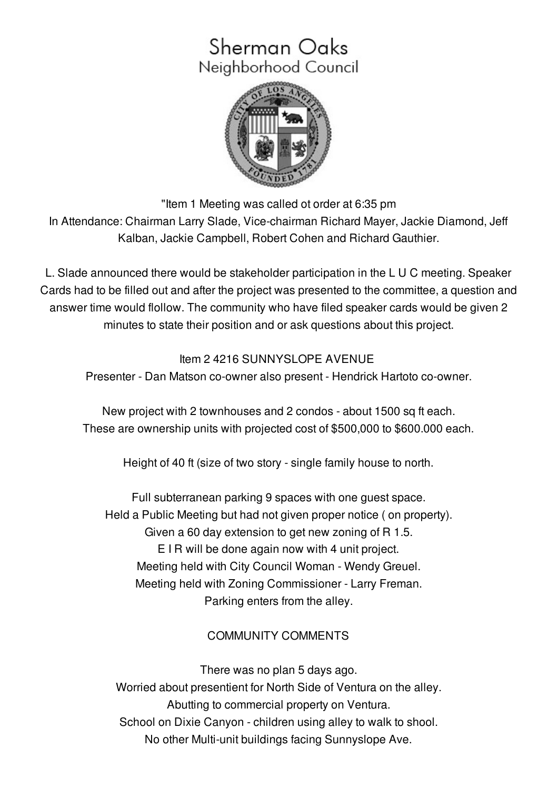# Sherman Oaks Neighborhood Council



"Item 1 Meeting was called ot order at 6:35 pm

In Attendance: Chairman Larry Slade, Vice-chairman Richard Mayer, Jackie Diamond, Jeff Kalban, Jackie Campbell, Robert Cohen and Richard Gauthier.

L. Slade announced there would be stakeholder participation in the L U C meeting. Speaker Cards had to be filled out and after the project was presented to the committee, a question and answer time would flollow. The community who have filed speaker cards would be given 2 minutes to state their position and or ask questions about this project.

# Item 2 4216 SUNNYSLOPE AVENUE

Presenter - Dan Matson co-owner also present - Hendrick Hartoto co-owner.

New project with 2 townhouses and 2 condos - about 1500 sq ft each. These are ownership units with projected cost of \$500,000 to \$600.000 each.

Height of 40 ft (size of two story - single family house to north.

Full subterranean parking 9 spaces with one guest space. Held a Public Meeting but had not given proper notice ( on property). Given a 60 day extension to get new zoning of R 1.5. E I R will be done again now with 4 unit project. Meeting held with City Council Woman - Wendy Greuel. Meeting held with Zoning Commissioner - Larry Freman. Parking enters from the alley.

# COMMUNITY COMMENTS

There was no plan 5 days ago. Worried about presentient for North Side of Ventura on the alley. Abutting to commercial property on Ventura. School on Dixie Canyon - children using alley to walk to shool. No other Multi-unit buildings facing Sunnyslope Ave.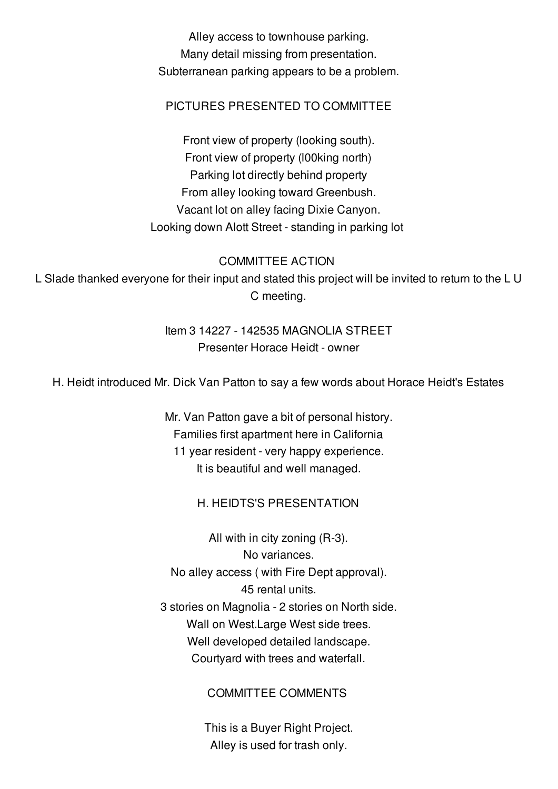Alley access to townhouse parking. Many detail missing from presentation. Subterranean parking appears to be a problem.

#### PICTURES PRESENTED TO COMMITTEE

Front view of property (looking south). Front view of property (l00king north) Parking lot directly behind property From alley looking toward Greenbush. Vacant lot on alley facing Dixie Canyon. Looking down Alott Street - standing in parking lot

COMMITTEE ACTION

L Slade thanked everyone for their input and stated this project will be invited to return to the L U C meeting.

## Item 3 14227 - 142535 MAGNOLIA STREET Presenter Horace Heidt - owner

H. Heidt introduced Mr. Dick Van Patton to say a few words about Horace Heidt's Estates

Mr. Van Patton gave a bit of personal history. Families first apartment here in California 11 year resident - very happy experience. It is beautiful and well managed.

#### H. HEIDTS'S PRESENTATION

All with in city zoning (R-3). No variances. No alley access ( with Fire Dept approval). 45 rental units. 3 stories on Magnolia - 2 stories on North side. Wall on West.Large West side trees. Well developed detailed landscape. Courtyard with trees and waterfall.

COMMITTEE COMMENTS

This is a Buyer Right Project. Alley is used for trash only.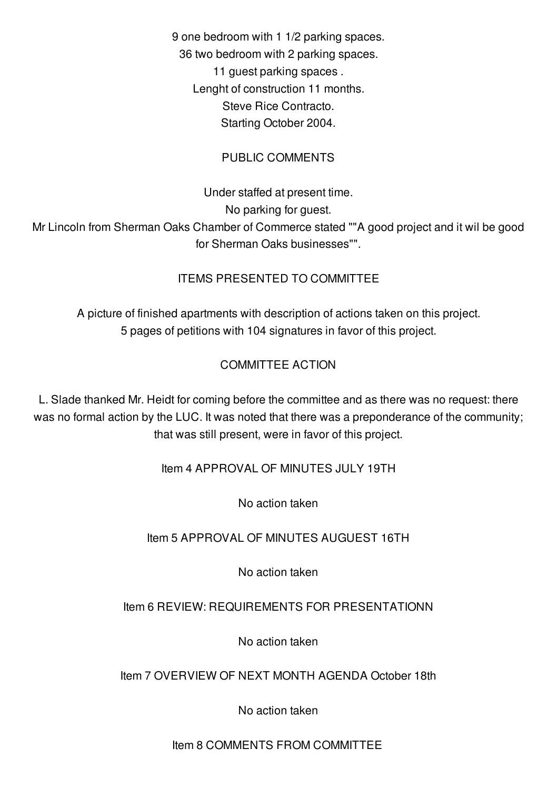9 one bedroom with 1 1/2 parking spaces. 36 two bedroom with 2 parking spaces. 11 guest parking spaces . Lenght of construction 11 months. Steve Rice Contracto. Starting October 2004.

## PUBLIC COMMENTS

Under staffed at present time. No parking for guest.

Mr Lincoln from Sherman Oaks Chamber of Commerce stated ""A good project and it wil be good for Sherman Oaks businesses"".

## ITEMS PRESENTED TO COMMITTEE

A picture of finished apartments with description of actions taken on this project. 5 pages of petitions with 104 signatures in favor of this project.

## COMMITTEE ACTION

L. Slade thanked Mr. Heidt for coming before the committee and as there was no request: there was no formal action by the LUC. It was noted that there was a preponderance of the community; that was still present, were in favor of this project.

Item 4 APPROVAL OF MINUTES JULY 19TH

No action taken

Item 5 APPROVAL OF MINUTES AUGUEST 16TH

No action taken

## Item 6 REVIEW: REQUIREMENTS FOR PRESENTATIONN

No action taken

## Item 7 OVERVIEW OF NEXT MONTH AGENDA October 18th

No action taken

#### Item 8 COMMENTS FROM COMMITTEE